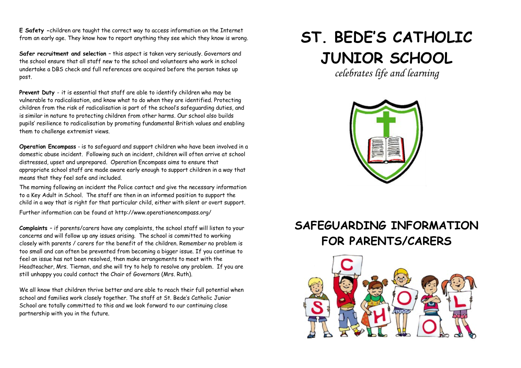**E Safety -**children are taught the correct way to access information on the Internet from an early age. They know how to report anything they see which they know is wrong.

**Safer recruitment and selection** – this aspect is taken very seriously. Governors and the school ensure that all staff new to the school and volunteers who work in school undertake a DBS check and full references are acquired before the person takes up post.

**Prevent Duty** - it is essential that staff are able to identify children who may be vulnerable to radicalisation, and know what to do when they are identified. Protecting children from the risk of radicalisation is part of the school's safeguarding duties, and is similar in nature to protecting children from other harms. Our school also builds pupils' resilience to radicalisation by promoting fundamental British values and enabling them to challenge extremist views.

**Operation Encompass** - is to safeguard and support children who have been involved in a domestic abuse incident. Following such an incident, children will often arrive at school distressed, upset and unprepared. Operation Encompass aims to ensure that appropriate school staff are made aware early enough to support children in a way that means that they feel safe and included.

The morning following an incident the Police contact and give the necessary information to a Key Adult in School. The staff are then in an informed position to support the child in a way that is right for that particular child, either with silent or overt support. Further information can be found at http://www.operationencompass.org/

**Complaints** – if parents/carers have any complaints, the school staff will listen to your concerns and will follow up any issues arising. The school is committed to working closely with parents / carers for the benefit of the children. Remember no problem is too small and can often be prevented from becoming a bigger issue. If you continue to feel an issue has not been resolved, then make arrangements to meet with the Headteacher, Mrs. Tiernan, and she will try to help to resolve any problem. If you are still unhappy you could contact the Chair of Governors (Mrs. Ruth).

We all know that children thrive better and are able to reach their full potential when school and families work closely together. The staff at St. Bede's Catholic Junior School are totally committed to this and we look forward to our continuing close partnership with you in the future.

## **ST. BEDE'S CATHOLIC JUNIOR SCHOOL**

*celebrates life and learning*



## **SAFEGUARDING INFORMATION FOR PARENTS/CARERS**